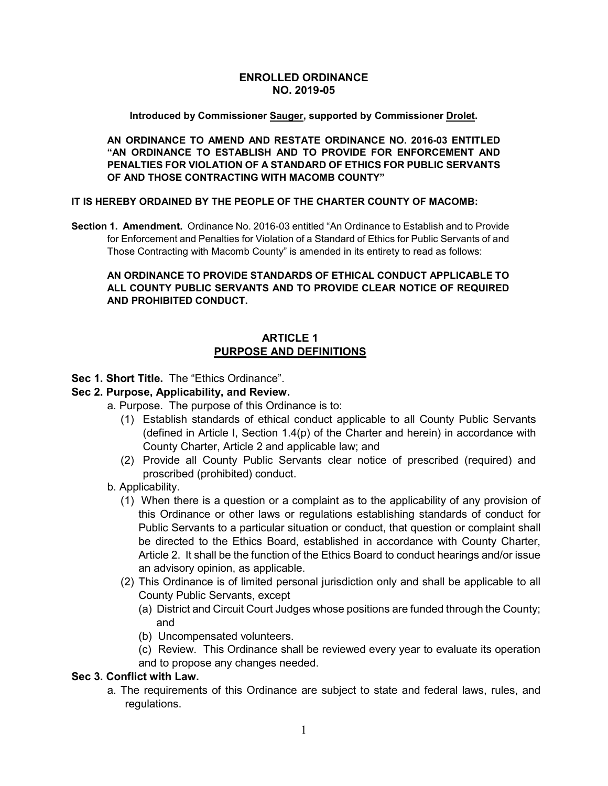### **ENROLLED ORDINANCE NO. 2019-05**

#### **Introduced by Commissioner Sauger, supported by Commissioner Drolet.**

**AN ORDINANCE TO AMEND AND RESTATE ORDINANCE NO. 2016-03 ENTITLED "AN ORDINANCE TO ESTABLISH AND TO PROVIDE FOR ENFORCEMENT AND PENALTIES FOR VIOLATION OF A STANDARD OF ETHICS FOR PUBLIC SERVANTS OF AND THOSE CONTRACTING WITH MACOMB COUNTY"**

#### **IT IS HEREBY ORDAINED BY THE PEOPLE OF THE CHARTER COUNTY OF MACOMB:**

**Section 1. Amendment.** Ordinance No. 2016-03 entitled "An Ordinance to Establish and to Provide for Enforcement and Penalties for Violation of a Standard of Ethics for Public Servants of and Those Contracting with Macomb County" is amended in its entirety to read as follows:

### **AN ORDINANCE TO PROVIDE STANDARDS OF ETHICAL CONDUCT APPLICABLE TO ALL COUNTY PUBLIC SERVANTS AND TO PROVIDE CLEAR NOTICE OF REQUIRED AND PROHIBITED CONDUCT.**

### **ARTICLE 1 PURPOSE AND DEFINITIONS**

### **Sec 1. Short Title.** The "Ethics Ordinance".

### **Sec 2. Purpose, Applicability, and Review.**

- a. Purpose. The purpose of this Ordinance is to:
	- (1) Establish standards of ethical conduct applicable to all County Public Servants (defined in Article I, Section 1.4(p) of the Charter and herein) in accordance with County Charter, Article 2 and applicable law; and
	- (2) Provide all County Public Servants clear notice of prescribed (required) and proscribed (prohibited) conduct.
- b. Applicability.
	- (1) When there is a question or a complaint as to the applicability of any provision of this Ordinance or other laws or regulations establishing standards of conduct for Public Servants to a particular situation or conduct, that question or complaint shall be directed to the Ethics Board, established in accordance with County Charter, Article 2. It shall be the function of the Ethics Board to conduct hearings and/or issue an advisory opinion, as applicable.
	- (2) This Ordinance is of limited personal jurisdiction only and shall be applicable to all County Public Servants, except
		- (a) District and Circuit Court Judges whose positions are funded through the County; and
		- (b) Uncompensated volunteers.
		- (c) Review. This Ordinance shall be reviewed every year to evaluate its operation and to propose any changes needed.

#### **Sec 3. Conflict with Law.**

a. The requirements of this Ordinance are subject to state and federal laws, rules, and regulations.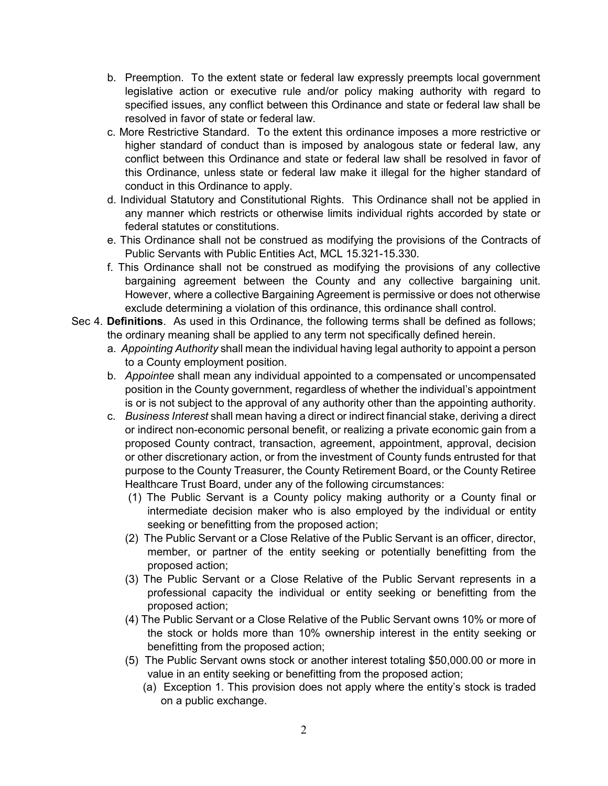- b. Preemption. To the extent state or federal law expressly preempts local government legislative action or executive rule and/or policy making authority with regard to specified issues, any conflict between this Ordinance and state or federal law shall be resolved in favor of state or federal law.
- c. More Restrictive Standard. To the extent this ordinance imposes a more restrictive or higher standard of conduct than is imposed by analogous state or federal law, any conflict between this Ordinance and state or federal law shall be resolved in favor of this Ordinance, unless state or federal law make it illegal for the higher standard of conduct in this Ordinance to apply.
- d. Individual Statutory and Constitutional Rights. This Ordinance shall not be applied in any manner which restricts or otherwise limits individual rights accorded by state or federal statutes or constitutions.
- e. This Ordinance shall not be construed as modifying the provisions of the Contracts of Public Servants with Public Entities Act, MCL 15.321-15.330.
- f. This Ordinance shall not be construed as modifying the provisions of any collective bargaining agreement between the County and any collective bargaining unit. However, where a collective Bargaining Agreement is permissive or does not otherwise exclude determining a violation of this ordinance, this ordinance shall control.
- Sec 4. **Definitions**. As used in this Ordinance, the following terms shall be defined as follows; the ordinary meaning shall be applied to any term not specifically defined herein.
	- a. *Appointing Authority* shall mean the individual having legal authority to appoint a person to a County employment position.
	- b. *Appointee* shall mean any individual appointed to a compensated or uncompensated position in the County government, regardless of whether the individual's appointment is or is not subject to the approval of any authority other than the appointing authority.
	- c. *Business Interest* shall mean having a direct or indirect financial stake, deriving a direct or indirect non-economic personal benefit, or realizing a private economic gain from a proposed County contract, transaction, agreement, appointment, approval, decision or other discretionary action, or from the investment of County funds entrusted for that purpose to the County Treasurer, the County Retirement Board, or the County Retiree Healthcare Trust Board, under any of the following circumstances:
		- (1) The Public Servant is a County policy making authority or a County final or intermediate decision maker who is also employed by the individual or entity seeking or benefitting from the proposed action;
		- (2) The Public Servant or a Close Relative of the Public Servant is an officer, director, member, or partner of the entity seeking or potentially benefitting from the proposed action;
		- (3) The Public Servant or a Close Relative of the Public Servant represents in a professional capacity the individual or entity seeking or benefitting from the proposed action;
		- (4) The Public Servant or a Close Relative of the Public Servant owns 10% or more of the stock or holds more than 10% ownership interest in the entity seeking or benefitting from the proposed action;
		- (5) The Public Servant owns stock or another interest totaling \$50,000.00 or more in value in an entity seeking or benefitting from the proposed action;
			- (a) Exception 1. This provision does not apply where the entity's stock is traded on a public exchange.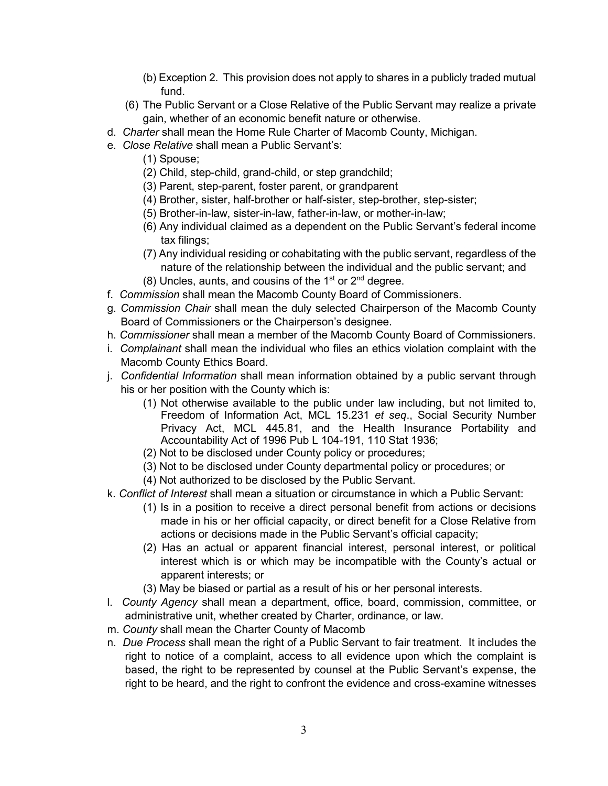- (b) Exception 2. This provision does not apply to shares in a publicly traded mutual fund.
- (6) The Public Servant or a Close Relative of the Public Servant may realize a private gain, whether of an economic benefit nature or otherwise.
- d. *Charter* shall mean the Home Rule Charter of Macomb County, Michigan.
- e. *Close Relative* shall mean a Public Servant's:
	- (1) Spouse;
	- (2) Child, step-child, grand-child, or step grandchild;
	- (3) Parent, step-parent, foster parent, or grandparent
	- (4) Brother, sister, half-brother or half-sister, step-brother, step-sister;
	- (5) Brother-in-law, sister-in-law, father-in-law, or mother-in-law;
	- (6) Any individual claimed as a dependent on the Public Servant's federal income tax filings;
	- (7) Any individual residing or cohabitating with the public servant, regardless of the nature of the relationship between the individual and the public servant; and
	- $(8)$  Uncles, aunts, and cousins of the 1<sup>st</sup> or  $2<sup>nd</sup>$  degree.
- f. *Commission* shall mean the Macomb County Board of Commissioners.
- g. *Commission Chair* shall mean the duly selected Chairperson of the Macomb County Board of Commissioners or the Chairperson's designee.
- h. *Commissioner* shall mean a member of the Macomb County Board of Commissioners.
- i. *Complainant* shall mean the individual who files an ethics violation complaint with the Macomb County Ethics Board.
- j. *Confidential Information* shall mean information obtained by a public servant through his or her position with the County which is:
	- (1) Not otherwise available to the public under law including, but not limited to, Freedom of Information Act, MCL 15.231 *et seq*., Social Security Number Privacy Act, MCL 445.81, and the Health Insurance Portability and Accountability Act of 1996 Pub L 104-191, 110 Stat 1936;
	- (2) Not to be disclosed under County policy or procedures;
	- (3) Not to be disclosed under County departmental policy or procedures; or
	- (4) Not authorized to be disclosed by the Public Servant.
- k. *Conflict of Interest* shall mean a situation or circumstance in which a Public Servant:
	- (1) Is in a position to receive a direct personal benefit from actions or decisions made in his or her official capacity, or direct benefit for a Close Relative from actions or decisions made in the Public Servant's official capacity;
	- (2) Has an actual or apparent financial interest, personal interest, or political interest which is or which may be incompatible with the County's actual or apparent interests; or
	- (3) May be biased or partial as a result of his or her personal interests.
- l. *County Agency* shall mean a department, office, board, commission, committee, or administrative unit, whether created by Charter, ordinance, or law.
- m. *County* shall mean the Charter County of Macomb
- n. *Due Process* shall mean the right of a Public Servant to fair treatment. It includes the right to notice of a complaint, access to all evidence upon which the complaint is based, the right to be represented by counsel at the Public Servant's expense, the right to be heard, and the right to confront the evidence and cross-examine witnesses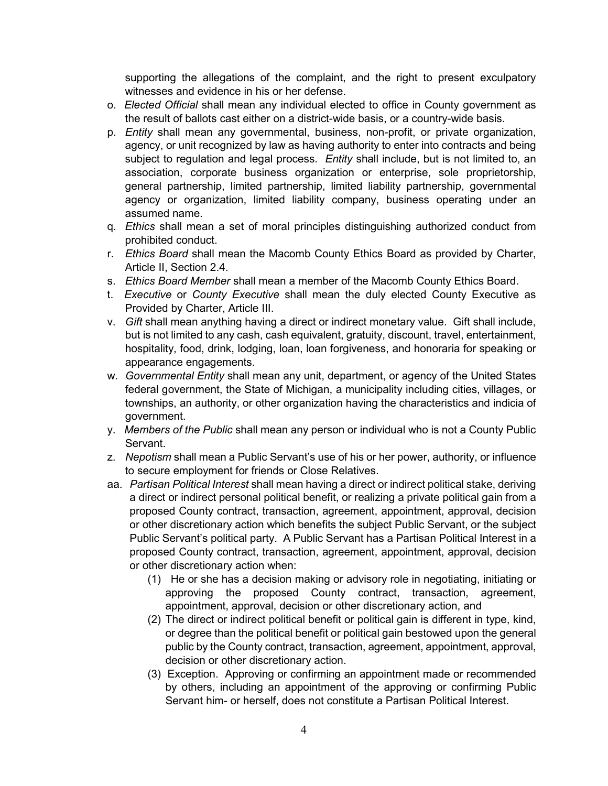supporting the allegations of the complaint, and the right to present exculpatory witnesses and evidence in his or her defense.

- o. *Elected Official* shall mean any individual elected to office in County government as the result of ballots cast either on a district-wide basis, or a country-wide basis.
- p. *Entity* shall mean any governmental, business, non-profit, or private organization, agency, or unit recognized by law as having authority to enter into contracts and being subject to regulation and legal process. *Entity* shall include, but is not limited to, an association, corporate business organization or enterprise, sole proprietorship, general partnership, limited partnership, limited liability partnership, governmental agency or organization, limited liability company, business operating under an assumed name.
- q. *Ethics* shall mean a set of moral principles distinguishing authorized conduct from prohibited conduct.
- r. *Ethics Board* shall mean the Macomb County Ethics Board as provided by Charter, Article II, Section 2.4.
- s. *Ethics Board Member* shall mean a member of the Macomb County Ethics Board.
- t. *Executive* or *County Executive* shall mean the duly elected County Executive as Provided by Charter, Article III.
- v. *Gift* shall mean anything having a direct or indirect monetary value. Gift shall include, but is not limited to any cash, cash equivalent, gratuity, discount, travel, entertainment, hospitality, food, drink, lodging, loan, loan forgiveness, and honoraria for speaking or appearance engagements.
- w. *Governmental Entity* shall mean any unit, department, or agency of the United States federal government, the State of Michigan, a municipality including cities, villages, or townships, an authority, or other organization having the characteristics and indicia of government.
- y. *Members of the Public* shall mean any person or individual who is not a County Public Servant.
- z. *Nepotism* shall mean a Public Servant's use of his or her power, authority, or influence to secure employment for friends or Close Relatives.
- aa. *Partisan Political Interest* shall mean having a direct or indirect political stake, deriving a direct or indirect personal political benefit, or realizing a private political gain from a proposed County contract, transaction, agreement, appointment, approval, decision or other discretionary action which benefits the subject Public Servant, or the subject Public Servant's political party. A Public Servant has a Partisan Political Interest in a proposed County contract, transaction, agreement, appointment, approval, decision or other discretionary action when:
	- (1) He or she has a decision making or advisory role in negotiating, initiating or approving the proposed County contract, transaction, agreement, appointment, approval, decision or other discretionary action, and
	- (2) The direct or indirect political benefit or political gain is different in type, kind, or degree than the political benefit or political gain bestowed upon the general public by the County contract, transaction, agreement, appointment, approval, decision or other discretionary action.
	- (3) Exception. Approving or confirming an appointment made or recommended by others, including an appointment of the approving or confirming Public Servant him- or herself, does not constitute a Partisan Political Interest.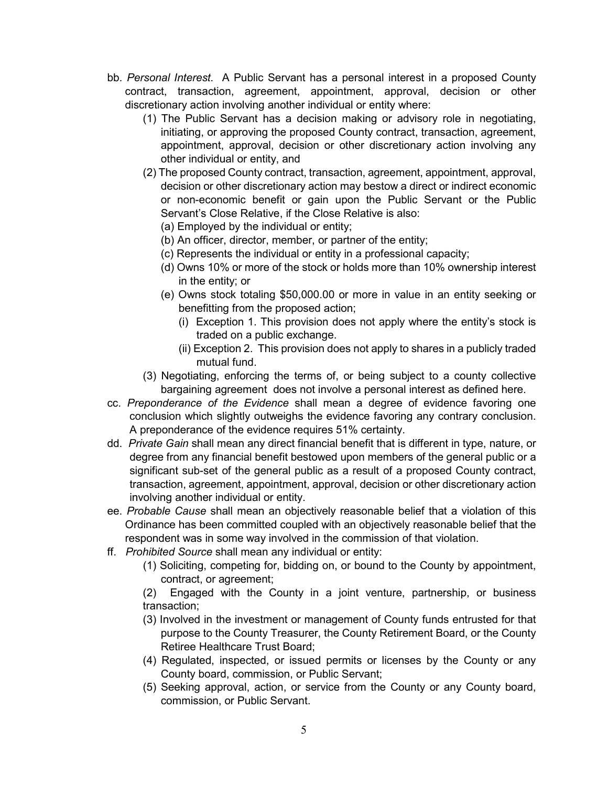- bb. *Personal Interest.* A Public Servant has a personal interest in a proposed County contract, transaction, agreement, appointment, approval, decision or other discretionary action involving another individual or entity where:
	- (1) The Public Servant has a decision making or advisory role in negotiating, initiating, or approving the proposed County contract, transaction, agreement, appointment, approval, decision or other discretionary action involving any other individual or entity, and
	- (2) The proposed County contract, transaction, agreement, appointment, approval, decision or other discretionary action may bestow a direct or indirect economic or non-economic benefit or gain upon the Public Servant or the Public Servant's Close Relative, if the Close Relative is also:
		- (a) Employed by the individual or entity;
		- (b) An officer, director, member, or partner of the entity;
		- (c) Represents the individual or entity in a professional capacity;
		- (d) Owns 10% or more of the stock or holds more than 10% ownership interest in the entity; or
		- (e) Owns stock totaling \$50,000.00 or more in value in an entity seeking or benefitting from the proposed action;
			- (i) Exception 1. This provision does not apply where the entity's stock is traded on a public exchange.
			- (ii) Exception 2. This provision does not apply to shares in a publicly traded mutual fund.
	- (3) Negotiating, enforcing the terms of, or being subject to a county collective bargaining agreement does not involve a personal interest as defined here.
- cc. *Preponderance of the Evidence* shall mean a degree of evidence favoring one conclusion which slightly outweighs the evidence favoring any contrary conclusion. A preponderance of the evidence requires 51% certainty.
- dd. *Private Gain* shall mean any direct financial benefit that is different in type, nature, or degree from any financial benefit bestowed upon members of the general public or a significant sub-set of the general public as a result of a proposed County contract, transaction, agreement, appointment, approval, decision or other discretionary action involving another individual or entity.
- ee. *Probable Cause* shall mean an objectively reasonable belief that a violation of this Ordinance has been committed coupled with an objectively reasonable belief that the respondent was in some way involved in the commission of that violation.
- ff. *Prohibited Source* shall mean any individual or entity:
	- (1) Soliciting, competing for, bidding on, or bound to the County by appointment, contract, or agreement;

(2) Engaged with the County in a joint venture, partnership, or business transaction;

- (3) Involved in the investment or management of County funds entrusted for that purpose to the County Treasurer, the County Retirement Board, or the County Retiree Healthcare Trust Board;
- (4) Regulated, inspected, or issued permits or licenses by the County or any County board, commission, or Public Servant;
- (5) Seeking approval, action, or service from the County or any County board, commission, or Public Servant.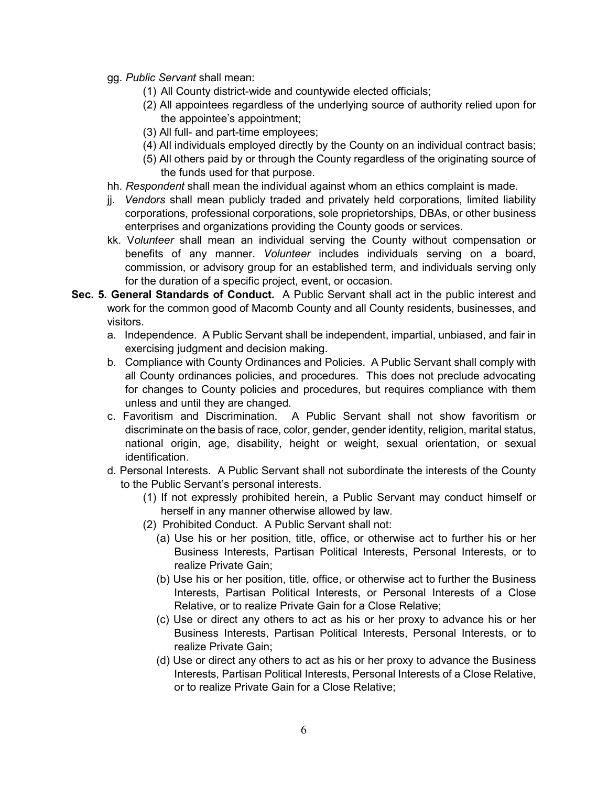- gg. *Public Servant* shall mean:
	- (1) All County district-wide and countywide elected officials;
	- (2) All appointees regardless of the underlying source of authority relied upon for the appointee's appointment;
	- (3) All full- and part-time employees;
	- (4) All individuals employed directly by the County on an individual contract basis;
	- (5) All others paid by or through the County regardless of the originating source of the funds used for that purpose.
- hh. *Respondent* shall mean the individual against whom an ethics complaint is made.
- jj. *Vendors* shall mean publicly traded and privately held corporations, limited liability corporations, professional corporations, sole proprietorships, DBAs, or other business enterprises and organizations providing the County goods or services.
- kk. V*olunteer* shall mean an individual serving the County without compensation or benefits of any manner. *Volunteer* includes individuals serving on a board, commission, or advisory group for an established term, and individuals serving only for the duration of a specific project, event, or occasion.
- **Sec. 5. General Standards of Conduct.** A Public Servant shall act in the public interest and work for the common good of Macomb County and all County residents, businesses, and visitors.
	- a. Independence. A Public Servant shall be independent, impartial, unbiased, and fair in exercising judgment and decision making.
	- b. Compliance with County Ordinances and Policies. A Public Servant shall comply with all County ordinances policies, and procedures. This does not preclude advocating for changes to County policies and procedures, but requires compliance with them unless and until they are changed.
	- c. Favoritism and Discrimination. A Public Servant shall not show favoritism or discriminate on the basis of race, color, gender, gender identity, religion, marital status, national origin, age, disability, height or weight, sexual orientation, or sexual identification.
	- d. Personal Interests. A Public Servant shall not subordinate the interests of the County to the Public Servant's personal interests.
		- (1) If not expressly prohibited herein, a Public Servant may conduct himself or herself in any manner otherwise allowed by law.
		- (2) Prohibited Conduct. A Public Servant shall not:
			- (a) Use his or her position, title, office, or otherwise act to further his or her Business Interests, Partisan Political Interests, Personal Interests, or to realize Private Gain;
			- (b) Use his or her position, title, office, or otherwise act to further the Business Interests, Partisan Political Interests, or Personal Interests of a Close Relative, or to realize Private Gain for a Close Relative;
			- (c) Use or direct any others to act as his or her proxy to advance his or her Business Interests, Partisan Political Interests, Personal Interests, or to realize Private Gain;
			- (d) Use or direct any others to act as his or her proxy to advance the Business Interests, Partisan Political Interests, Personal Interests of a Close Relative, or to realize Private Gain for a Close Relative;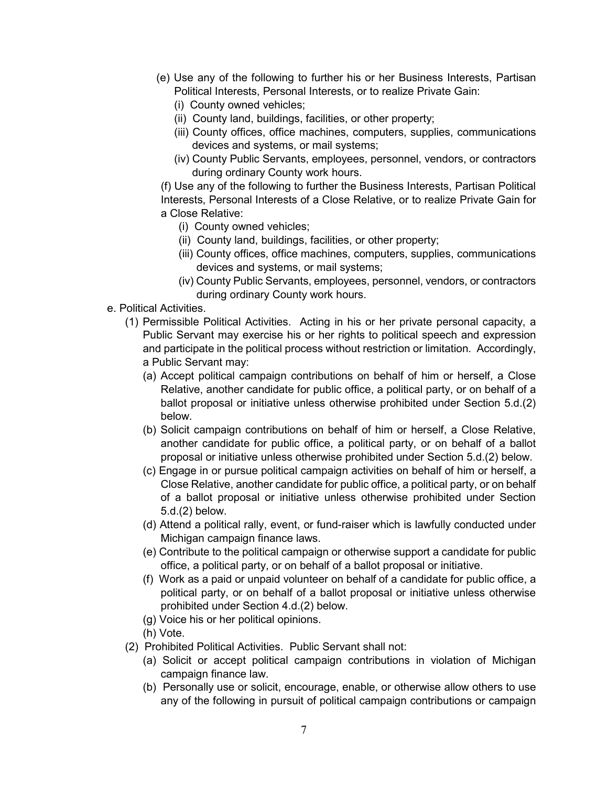- (e) Use any of the following to further his or her Business Interests, Partisan Political Interests, Personal Interests, or to realize Private Gain:
	- (i) County owned vehicles;
	- (ii) County land, buildings, facilities, or other property;
	- (iii) County offices, office machines, computers, supplies, communications devices and systems, or mail systems;
	- (iv) County Public Servants, employees, personnel, vendors, or contractors during ordinary County work hours.

(f) Use any of the following to further the Business Interests, Partisan Political Interests, Personal Interests of a Close Relative, or to realize Private Gain for a Close Relative:

- (i) County owned vehicles;
- (ii) County land, buildings, facilities, or other property;
- (iii) County offices, office machines, computers, supplies, communications devices and systems, or mail systems;
- (iv) County Public Servants, employees, personnel, vendors, or contractors during ordinary County work hours.
- e. Political Activities.
	- (1) Permissible Political Activities. Acting in his or her private personal capacity, a Public Servant may exercise his or her rights to political speech and expression and participate in the political process without restriction or limitation. Accordingly, a Public Servant may:
		- (a) Accept political campaign contributions on behalf of him or herself, a Close Relative, another candidate for public office, a political party, or on behalf of a ballot proposal or initiative unless otherwise prohibited under Section 5.d.(2) below.
		- (b) Solicit campaign contributions on behalf of him or herself, a Close Relative, another candidate for public office, a political party, or on behalf of a ballot proposal or initiative unless otherwise prohibited under Section 5.d.(2) below.
		- (c) Engage in or pursue political campaign activities on behalf of him or herself, a Close Relative, another candidate for public office, a political party, or on behalf of a ballot proposal or initiative unless otherwise prohibited under Section 5.d.(2) below.
		- (d) Attend a political rally, event, or fund-raiser which is lawfully conducted under Michigan campaign finance laws.
		- (e) Contribute to the political campaign or otherwise support a candidate for public office, a political party, or on behalf of a ballot proposal or initiative.
		- (f) Work as a paid or unpaid volunteer on behalf of a candidate for public office, a political party, or on behalf of a ballot proposal or initiative unless otherwise prohibited under Section 4.d.(2) below.
		- (g) Voice his or her political opinions.
		- (h) Vote.
	- (2) Prohibited Political Activities. Public Servant shall not:
		- (a) Solicit or accept political campaign contributions in violation of Michigan campaign finance law.
		- (b) Personally use or solicit, encourage, enable, or otherwise allow others to use any of the following in pursuit of political campaign contributions or campaign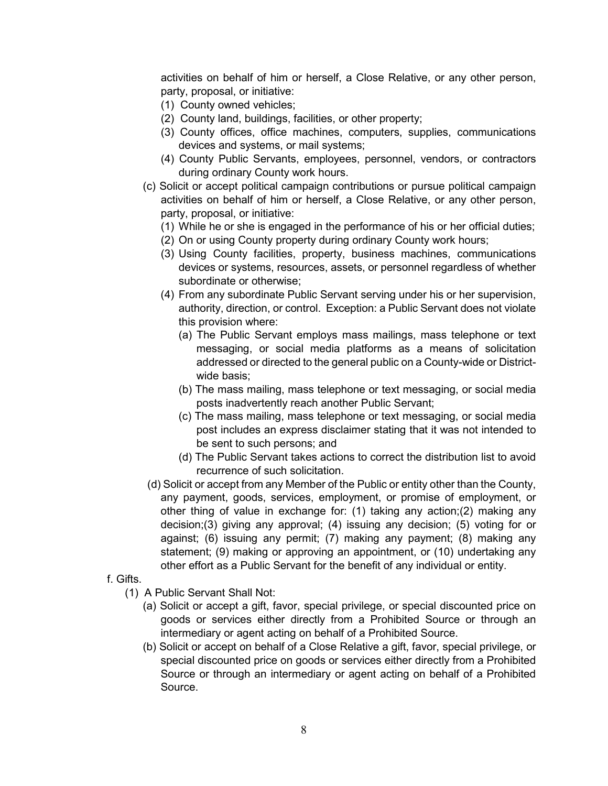activities on behalf of him or herself, a Close Relative, or any other person, party, proposal, or initiative:

- (1) County owned vehicles;
- (2) County land, buildings, facilities, or other property;
- (3) County offices, office machines, computers, supplies, communications devices and systems, or mail systems;
- (4) County Public Servants, employees, personnel, vendors, or contractors during ordinary County work hours.
- (c) Solicit or accept political campaign contributions or pursue political campaign activities on behalf of him or herself, a Close Relative, or any other person, party, proposal, or initiative:
	- (1) While he or she is engaged in the performance of his or her official duties;
	- (2) On or using County property during ordinary County work hours;
	- (3) Using County facilities, property, business machines, communications devices or systems, resources, assets, or personnel regardless of whether subordinate or otherwise;
	- (4) From any subordinate Public Servant serving under his or her supervision, authority, direction, or control. Exception: a Public Servant does not violate this provision where:
		- (a) The Public Servant employs mass mailings, mass telephone or text messaging, or social media platforms as a means of solicitation addressed or directed to the general public on a County-wide or Districtwide basis;
		- (b) The mass mailing, mass telephone or text messaging, or social media posts inadvertently reach another Public Servant;
		- (c) The mass mailing, mass telephone or text messaging, or social media post includes an express disclaimer stating that it was not intended to be sent to such persons; and
		- (d) The Public Servant takes actions to correct the distribution list to avoid recurrence of such solicitation.
- (d) Solicit or accept from any Member of the Public or entity other than the County, any payment, goods, services, employment, or promise of employment, or other thing of value in exchange for: (1) taking any action;(2) making any decision;(3) giving any approval; (4) issuing any decision; (5) voting for or against; (6) issuing any permit; (7) making any payment; (8) making any statement; (9) making or approving an appointment, or (10) undertaking any other effort as a Public Servant for the benefit of any individual or entity.
- f. Gifts.
	- (1) A Public Servant Shall Not:
		- (a) Solicit or accept a gift, favor, special privilege, or special discounted price on goods or services either directly from a Prohibited Source or through an intermediary or agent acting on behalf of a Prohibited Source.
		- (b) Solicit or accept on behalf of a Close Relative a gift, favor, special privilege, or special discounted price on goods or services either directly from a Prohibited Source or through an intermediary or agent acting on behalf of a Prohibited Source.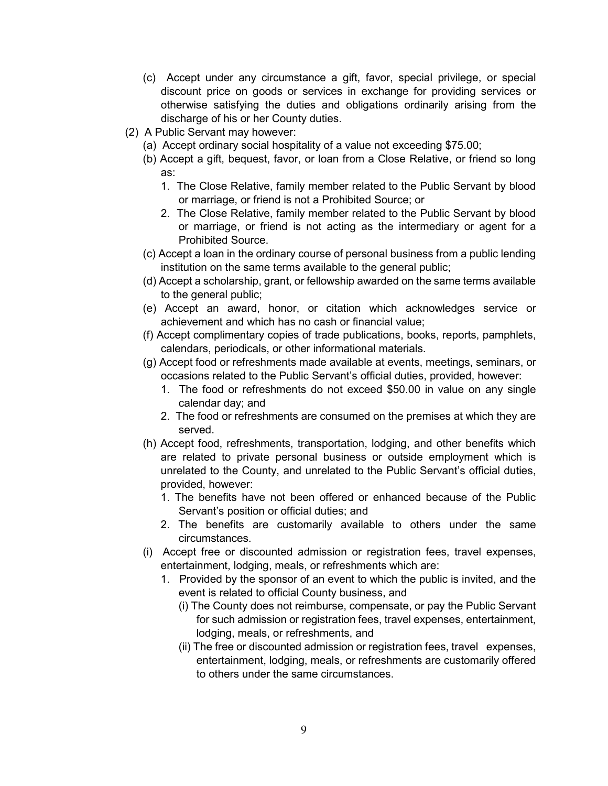- (c) Accept under any circumstance a gift, favor, special privilege, or special discount price on goods or services in exchange for providing services or otherwise satisfying the duties and obligations ordinarily arising from the discharge of his or her County duties.
- (2) A Public Servant may however:
	- (a) Accept ordinary social hospitality of a value not exceeding \$75.00;
	- (b) Accept a gift, bequest, favor, or loan from a Close Relative, or friend so long as:
		- 1. The Close Relative, family member related to the Public Servant by blood or marriage, or friend is not a Prohibited Source; or
		- 2. The Close Relative, family member related to the Public Servant by blood or marriage, or friend is not acting as the intermediary or agent for a Prohibited Source.
	- (c) Accept a loan in the ordinary course of personal business from a public lending institution on the same terms available to the general public;
	- (d) Accept a scholarship, grant, or fellowship awarded on the same terms available to the general public;
	- (e) Accept an award, honor, or citation which acknowledges service or achievement and which has no cash or financial value;
	- (f) Accept complimentary copies of trade publications, books, reports, pamphlets, calendars, periodicals, or other informational materials.
	- (g) Accept food or refreshments made available at events, meetings, seminars, or occasions related to the Public Servant's official duties, provided, however:
		- 1. The food or refreshments do not exceed \$50.00 in value on any single calendar day; and
		- 2. The food or refreshments are consumed on the premises at which they are served.
	- (h) Accept food, refreshments, transportation, lodging, and other benefits which are related to private personal business or outside employment which is unrelated to the County, and unrelated to the Public Servant's official duties, provided, however:
		- 1. The benefits have not been offered or enhanced because of the Public Servant's position or official duties; and
		- 2. The benefits are customarily available to others under the same circumstances.
	- (i) Accept free or discounted admission or registration fees, travel expenses, entertainment, lodging, meals, or refreshments which are:
		- 1. Provided by the sponsor of an event to which the public is invited, and the event is related to official County business, and
			- (i) The County does not reimburse, compensate, or pay the Public Servant for such admission or registration fees, travel expenses, entertainment, lodging, meals, or refreshments, and
			- (ii) The free or discounted admission or registration fees, travel expenses, entertainment, lodging, meals, or refreshments are customarily offered to others under the same circumstances.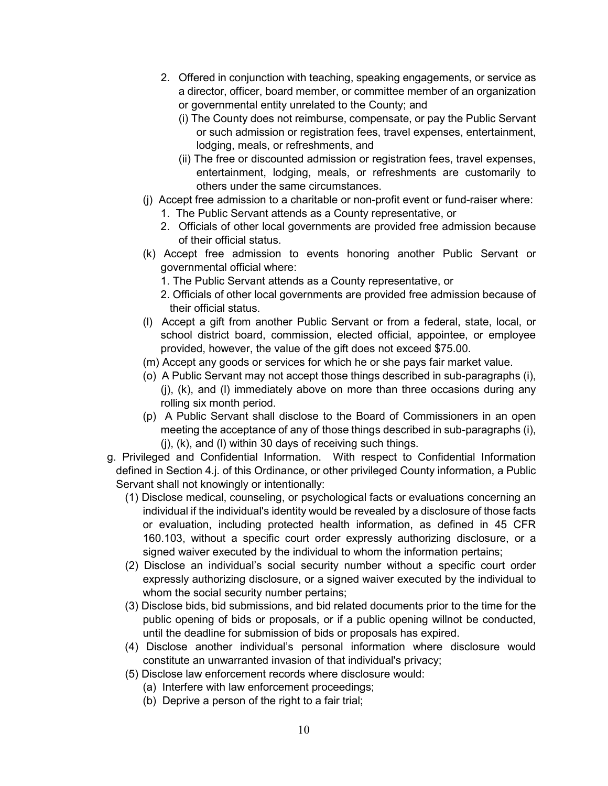- 2. Offered in conjunction with teaching, speaking engagements, or service as a director, officer, board member, or committee member of an organization or governmental entity unrelated to the County; and
	- (i) The County does not reimburse, compensate, or pay the Public Servant or such admission or registration fees, travel expenses, entertainment, lodging, meals, or refreshments, and
	- (ii) The free or discounted admission or registration fees, travel expenses, entertainment, lodging, meals, or refreshments are customarily to others under the same circumstances.
- (j) Accept free admission to a charitable or non-profit event or fund-raiser where:
	- 1. The Public Servant attends as a County representative, or
	- 2. Officials of other local governments are provided free admission because of their official status.
- (k) Accept free admission to events honoring another Public Servant or governmental official where:
	- 1. The Public Servant attends as a County representative, or
	- 2. Officials of other local governments are provided free admission because of their official status.
- (l) Accept a gift from another Public Servant or from a federal, state, local, or school district board, commission, elected official, appointee, or employee provided, however, the value of the gift does not exceed \$75.00.
- (m) Accept any goods or services for which he or she pays fair market value.
- (o) A Public Servant may not accept those things described in sub-paragraphs (i), (j), (k), and (l) immediately above on more than three occasions during any rolling six month period.
- (p) A Public Servant shall disclose to the Board of Commissioners in an open meeting the acceptance of any of those things described in sub-paragraphs (i), (j), (k), and (l) within 30 days of receiving such things.
- g. Privileged and Confidential Information. With respect to Confidential Information defined in Section 4.j. of this Ordinance, or other privileged County information, a Public Servant shall not knowingly or intentionally:
	- (1) Disclose medical, counseling, or psychological facts or evaluations concerning an individual if the individual's identity would be revealed by a disclosure of those facts or evaluation, including protected health information, as defined in 45 CFR 160.103, without a specific court order expressly authorizing disclosure, or a signed waiver executed by the individual to whom the information pertains;
	- (2) Disclose an individual's social security number without a specific court order expressly authorizing disclosure, or a signed waiver executed by the individual to whom the social security number pertains;
	- (3) Disclose bids, bid submissions, and bid related documents prior to the time for the public opening of bids or proposals, or if a public opening willnot be conducted, until the deadline for submission of bids or proposals has expired.
	- (4) Disclose another individual's personal information where disclosure would constitute an unwarranted invasion of that individual's privacy;
	- (5) Disclose law enforcement records where disclosure would:
		- (a) Interfere with law enforcement proceedings;
		- (b) Deprive a person of the right to a fair trial;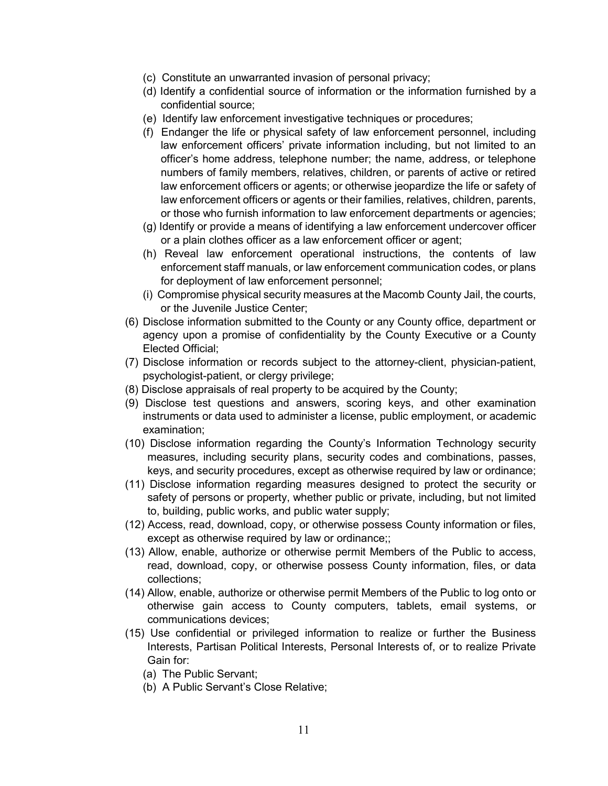- (c) Constitute an unwarranted invasion of personal privacy;
- (d) Identify a confidential source of information or the information furnished by a confidential source;
- (e) Identify law enforcement investigative techniques or procedures;
- (f) Endanger the life or physical safety of law enforcement personnel, including law enforcement officers' private information including, but not limited to an officer's home address, telephone number; the name, address, or telephone numbers of family members, relatives, children, or parents of active or retired law enforcement officers or agents; or otherwise jeopardize the life or safety of law enforcement officers or agents or their families, relatives, children, parents, or those who furnish information to law enforcement departments or agencies;
- (g) Identify or provide a means of identifying a law enforcement undercover officer or a plain clothes officer as a law enforcement officer or agent;
- (h) Reveal law enforcement operational instructions, the contents of law enforcement staff manuals, or law enforcement communication codes, or plans for deployment of law enforcement personnel;
- (i) Compromise physical security measures at the Macomb County Jail, the courts, or the Juvenile Justice Center;
- (6) Disclose information submitted to the County or any County office, department or agency upon a promise of confidentiality by the County Executive or a County Elected Official;
- (7) Disclose information or records subject to the attorney-client, physician-patient, psychologist-patient, or clergy privilege;
- (8) Disclose appraisals of real property to be acquired by the County;
- (9) Disclose test questions and answers, scoring keys, and other examination instruments or data used to administer a license, public employment, or academic examination;
- (10) Disclose information regarding the County's Information Technology security measures, including security plans, security codes and combinations, passes, keys, and security procedures, except as otherwise required by law or ordinance;
- (11) Disclose information regarding measures designed to protect the security or safety of persons or property, whether public or private, including, but not limited to, building, public works, and public water supply;
- (12) Access, read, download, copy, or otherwise possess County information or files, except as otherwise required by law or ordinance;;
- (13) Allow, enable, authorize or otherwise permit Members of the Public to access, read, download, copy, or otherwise possess County information, files, or data collections;
- (14) Allow, enable, authorize or otherwise permit Members of the Public to log onto or otherwise gain access to County computers, tablets, email systems, or communications devices;
- (15) Use confidential or privileged information to realize or further the Business Interests, Partisan Political Interests, Personal Interests of, or to realize Private Gain for:
	- (a) The Public Servant;
	- (b) A Public Servant's Close Relative;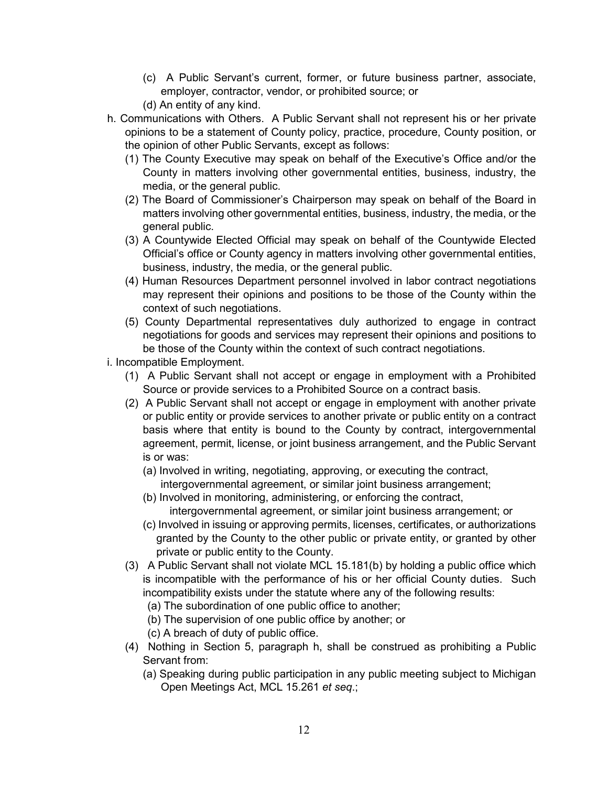- (c) A Public Servant's current, former, or future business partner, associate, employer, contractor, vendor, or prohibited source; or
- (d) An entity of any kind.
- h. Communications with Others. A Public Servant shall not represent his or her private opinions to be a statement of County policy, practice, procedure, County position, or the opinion of other Public Servants, except as follows:
	- (1) The County Executive may speak on behalf of the Executive's Office and/or the County in matters involving other governmental entities, business, industry, the media, or the general public.
	- (2) The Board of Commissioner's Chairperson may speak on behalf of the Board in matters involving other governmental entities, business, industry, the media, or the general public.
	- (3) A Countywide Elected Official may speak on behalf of the Countywide Elected Official's office or County agency in matters involving other governmental entities, business, industry, the media, or the general public.
	- (4) Human Resources Department personnel involved in labor contract negotiations may represent their opinions and positions to be those of the County within the context of such negotiations.
	- (5) County Departmental representatives duly authorized to engage in contract negotiations for goods and services may represent their opinions and positions to be those of the County within the context of such contract negotiations.
- i. Incompatible Employment.
	- (1) A Public Servant shall not accept or engage in employment with a Prohibited Source or provide services to a Prohibited Source on a contract basis.
	- (2) A Public Servant shall not accept or engage in employment with another private or public entity or provide services to another private or public entity on a contract basis where that entity is bound to the County by contract, intergovernmental agreement, permit, license, or joint business arrangement, and the Public Servant is or was:
		- (a) Involved in writing, negotiating, approving, or executing the contract,
			- intergovernmental agreement, or similar joint business arrangement;
		- (b) Involved in monitoring, administering, or enforcing the contract, intergovernmental agreement, or similar joint business arrangement; or
		- (c) Involved in issuing or approving permits, licenses, certificates, or authorizations granted by the County to the other public or private entity, or granted by other private or public entity to the County.
	- (3) A Public Servant shall not violate MCL 15.181(b) by holding a public office which is incompatible with the performance of his or her official County duties. Such incompatibility exists under the statute where any of the following results:
		- (a) The subordination of one public office to another;
		- (b) The supervision of one public office by another; or
		- (c) A breach of duty of public office.
	- (4) Nothing in Section 5, paragraph h, shall be construed as prohibiting a Public Servant from:
		- (a) Speaking during public participation in any public meeting subject to Michigan Open Meetings Act, MCL 15.261 *et seq*.;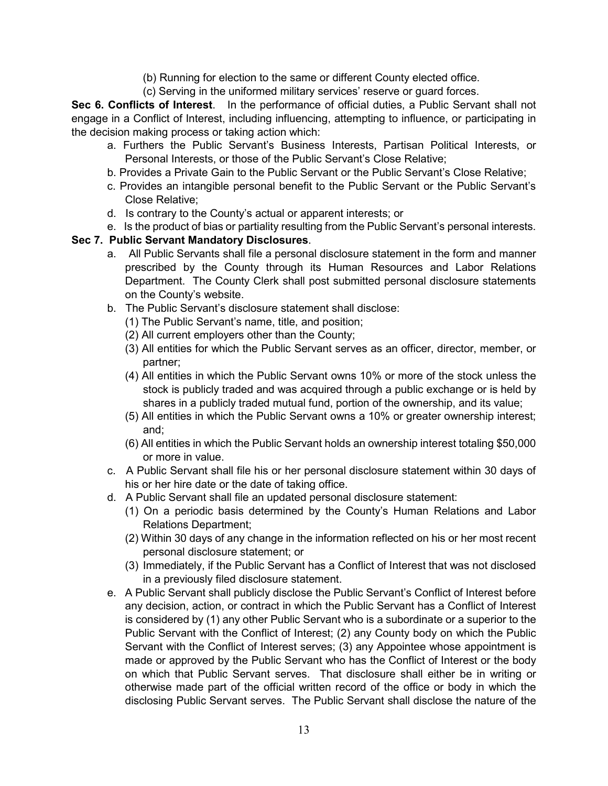- (b) Running for election to the same or different County elected office.
- (c) Serving in the uniformed military services' reserve or guard forces.

**Sec 6. Conflicts of Interest**. In the performance of official duties, a Public Servant shall not engage in a Conflict of Interest, including influencing, attempting to influence, or participating in the decision making process or taking action which:

- a. Furthers the Public Servant's Business Interests, Partisan Political Interests, or Personal Interests, or those of the Public Servant's Close Relative;
- b. Provides a Private Gain to the Public Servant or the Public Servant's Close Relative;
- c. Provides an intangible personal benefit to the Public Servant or the Public Servant's Close Relative;
- d. Is contrary to the County's actual or apparent interests; or
- e. Is the product of bias or partiality resulting from the Public Servant's personal interests.

## **Sec 7. Public Servant Mandatory Disclosures**.

- a. All Public Servants shall file a personal disclosure statement in the form and manner prescribed by the County through its Human Resources and Labor Relations Department. The County Clerk shall post submitted personal disclosure statements on the County's website.
- b. The Public Servant's disclosure statement shall disclose:
	- (1) The Public Servant's name, title, and position;
	- (2) All current employers other than the County;
	- (3) All entities for which the Public Servant serves as an officer, director, member, or partner;
	- (4) All entities in which the Public Servant owns 10% or more of the stock unless the stock is publicly traded and was acquired through a public exchange or is held by shares in a publicly traded mutual fund, portion of the ownership, and its value;
	- (5) All entities in which the Public Servant owns a 10% or greater ownership interest; and;
	- (6) All entities in which the Public Servant holds an ownership interest totaling \$50,000 or more in value.
- c. A Public Servant shall file his or her personal disclosure statement within 30 days of his or her hire date or the date of taking office.
- d. A Public Servant shall file an updated personal disclosure statement:
	- (1) On a periodic basis determined by the County's Human Relations and Labor Relations Department;
	- (2) Within 30 days of any change in the information reflected on his or her most recent personal disclosure statement; or
	- (3) Immediately, if the Public Servant has a Conflict of Interest that was not disclosed in a previously filed disclosure statement.
- e. A Public Servant shall publicly disclose the Public Servant's Conflict of Interest before any decision, action, or contract in which the Public Servant has a Conflict of Interest is considered by (1) any other Public Servant who is a subordinate or a superior to the Public Servant with the Conflict of Interest; (2) any County body on which the Public Servant with the Conflict of Interest serves; (3) any Appointee whose appointment is made or approved by the Public Servant who has the Conflict of Interest or the body on which that Public Servant serves. That disclosure shall either be in writing or otherwise made part of the official written record of the office or body in which the disclosing Public Servant serves. The Public Servant shall disclose the nature of the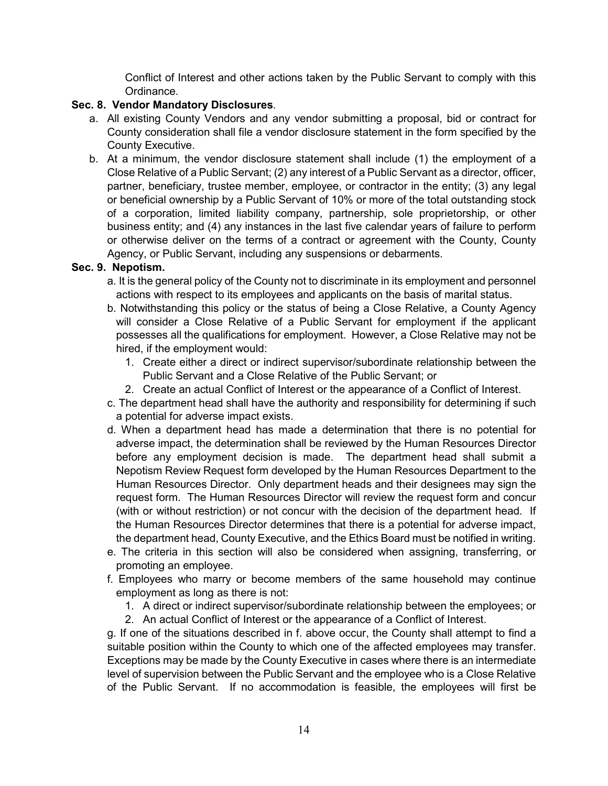Conflict of Interest and other actions taken by the Public Servant to comply with this Ordinance.

# **Sec. 8. Vendor Mandatory Disclosures**.

- a. All existing County Vendors and any vendor submitting a proposal, bid or contract for County consideration shall file a vendor disclosure statement in the form specified by the County Executive.
- b. At a minimum, the vendor disclosure statement shall include (1) the employment of a Close Relative of a Public Servant; (2) any interest of a Public Servant as a director, officer, partner, beneficiary, trustee member, employee, or contractor in the entity; (3) any legal or beneficial ownership by a Public Servant of 10% or more of the total outstanding stock of a corporation, limited liability company, partnership, sole proprietorship, or other business entity; and (4) any instances in the last five calendar years of failure to perform or otherwise deliver on the terms of a contract or agreement with the County, County Agency, or Public Servant, including any suspensions or debarments.

## **Sec. 9. Nepotism.**

- a. It is the general policy of the County not to discriminate in its employment and personnel actions with respect to its employees and applicants on the basis of marital status.
- b. Notwithstanding this policy or the status of being a Close Relative, a County Agency will consider a Close Relative of a Public Servant for employment if the applicant possesses all the qualifications for employment. However, a Close Relative may not be hired, if the employment would:
	- 1. Create either a direct or indirect supervisor/subordinate relationship between the Public Servant and a Close Relative of the Public Servant; or
	- 2. Create an actual Conflict of Interest or the appearance of a Conflict of Interest.
- c. The department head shall have the authority and responsibility for determining if such a potential for adverse impact exists.
- d. When a department head has made a determination that there is no potential for adverse impact, the determination shall be reviewed by the Human Resources Director before any employment decision is made. The department head shall submit a Nepotism Review Request form developed by the Human Resources Department to the Human Resources Director. Only department heads and their designees may sign the request form. The Human Resources Director will review the request form and concur (with or without restriction) or not concur with the decision of the department head. If the Human Resources Director determines that there is a potential for adverse impact, the department head, County Executive, and the Ethics Board must be notified in writing.
- e. The criteria in this section will also be considered when assigning, transferring, or promoting an employee.
- f. Employees who marry or become members of the same household may continue employment as long as there is not:
	- 1. A direct or indirect supervisor/subordinate relationship between the employees; or
	- 2. An actual Conflict of Interest or the appearance of a Conflict of Interest.

g. If one of the situations described in f. above occur, the County shall attempt to find a suitable position within the County to which one of the affected employees may transfer. Exceptions may be made by the County Executive in cases where there is an intermediate level of supervision between the Public Servant and the employee who is a Close Relative of the Public Servant. If no accommodation is feasible, the employees will first be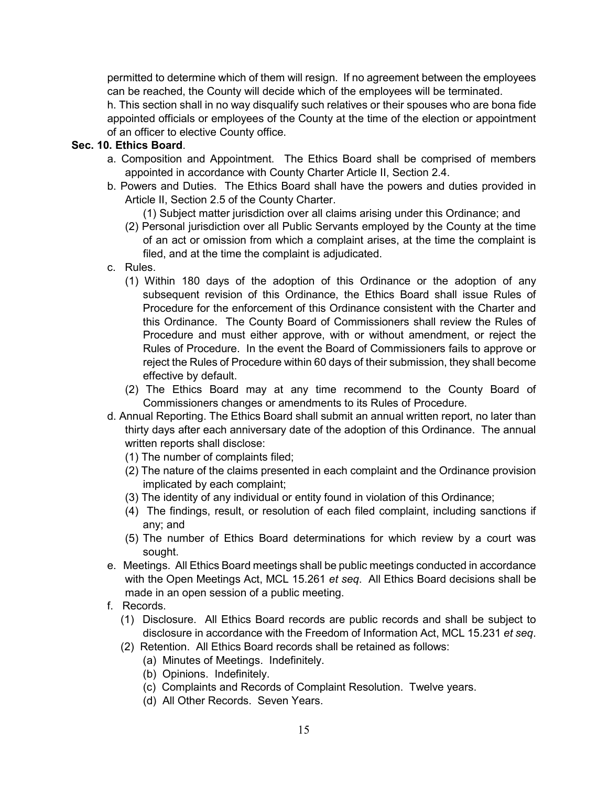permitted to determine which of them will resign. If no agreement between the employees can be reached, the County will decide which of the employees will be terminated.

h. This section shall in no way disqualify such relatives or their spouses who are bona fide appointed officials or employees of the County at the time of the election or appointment of an officer to elective County office.

## **Sec. 10. Ethics Board**.

- a. Composition and Appointment. The Ethics Board shall be comprised of members appointed in accordance with County Charter Article II, Section 2.4.
- b. Powers and Duties. The Ethics Board shall have the powers and duties provided in Article II, Section 2.5 of the County Charter.
	- (1) Subject matter jurisdiction over all claims arising under this Ordinance; and
	- (2) Personal jurisdiction over all Public Servants employed by the County at the time of an act or omission from which a complaint arises, at the time the complaint is filed, and at the time the complaint is adjudicated.
- c. Rules.
	- (1) Within 180 days of the adoption of this Ordinance or the adoption of any subsequent revision of this Ordinance, the Ethics Board shall issue Rules of Procedure for the enforcement of this Ordinance consistent with the Charter and this Ordinance. The County Board of Commissioners shall review the Rules of Procedure and must either approve, with or without amendment, or reject the Rules of Procedure. In the event the Board of Commissioners fails to approve or reject the Rules of Procedure within 60 days of their submission, they shall become effective by default.
	- (2) The Ethics Board may at any time recommend to the County Board of Commissioners changes or amendments to its Rules of Procedure.
- d. Annual Reporting. The Ethics Board shall submit an annual written report, no later than thirty days after each anniversary date of the adoption of this Ordinance. The annual written reports shall disclose:
	- (1) The number of complaints filed;
	- (2) The nature of the claims presented in each complaint and the Ordinance provision implicated by each complaint;
	- (3) The identity of any individual or entity found in violation of this Ordinance;
	- (4) The findings, result, or resolution of each filed complaint, including sanctions if any; and
	- (5) The number of Ethics Board determinations for which review by a court was sought.
- e. Meetings. All Ethics Board meetings shall be public meetings conducted in accordance with the Open Meetings Act, MCL 15.261 *et seq*. All Ethics Board decisions shall be made in an open session of a public meeting.
- f. Records.
	- (1) Disclosure. All Ethics Board records are public records and shall be subject to disclosure in accordance with the Freedom of Information Act, MCL 15.231 *et seq*.
	- (2) Retention. All Ethics Board records shall be retained as follows:
		- (a) Minutes of Meetings. Indefinitely.
		- (b) Opinions. Indefinitely.
		- (c) Complaints and Records of Complaint Resolution. Twelve years.
		- (d) All Other Records. Seven Years.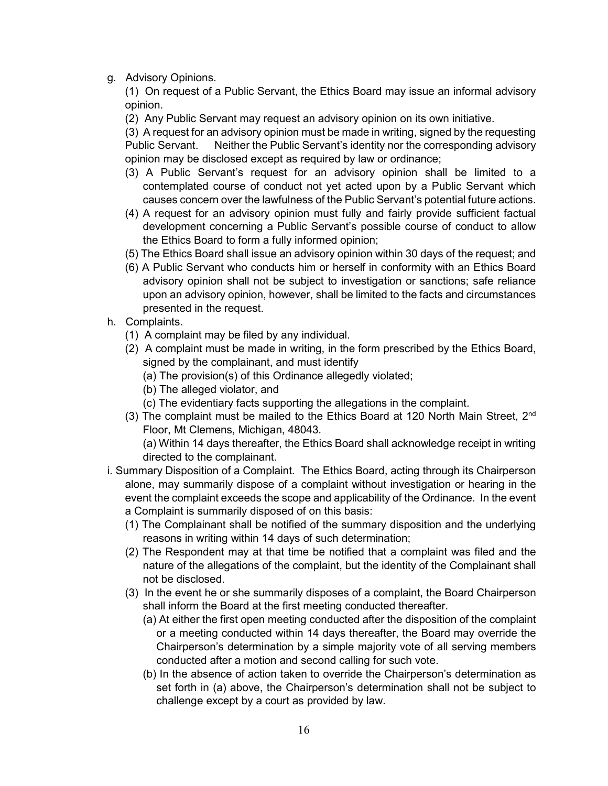g. Advisory Opinions.

(1) On request of a Public Servant, the Ethics Board may issue an informal advisory opinion.

(2) Any Public Servant may request an advisory opinion on its own initiative.

(3) A request for an advisory opinion must be made in writing, signed by the requesting Public Servant. Neither the Public Servant's identity nor the corresponding advisory opinion may be disclosed except as required by law or ordinance;

- (3) A Public Servant's request for an advisory opinion shall be limited to a contemplated course of conduct not yet acted upon by a Public Servant which causes concern over the lawfulness of the Public Servant's potential future actions.
- (4) A request for an advisory opinion must fully and fairly provide sufficient factual development concerning a Public Servant's possible course of conduct to allow the Ethics Board to form a fully informed opinion;
- (5) The Ethics Board shall issue an advisory opinion within 30 days of the request; and
- (6) A Public Servant who conducts him or herself in conformity with an Ethics Board advisory opinion shall not be subject to investigation or sanctions; safe reliance upon an advisory opinion, however, shall be limited to the facts and circumstances presented in the request.
- h. Complaints.
	- (1) A complaint may be filed by any individual.
	- (2) A complaint must be made in writing, in the form prescribed by the Ethics Board, signed by the complainant, and must identify
		- (a) The provision(s) of this Ordinance allegedly violated;
		- (b) The alleged violator, and
		- (c) The evidentiary facts supporting the allegations in the complaint.
	- (3) The complaint must be mailed to the Ethics Board at 120 North Main Street, 2<sup>nd</sup> Floor, Mt Clemens, Michigan, 48043.

(a) Within 14 days thereafter, the Ethics Board shall acknowledge receipt in writing directed to the complainant.

- i. Summary Disposition of a Complaint. The Ethics Board, acting through its Chairperson alone, may summarily dispose of a complaint without investigation or hearing in the event the complaint exceeds the scope and applicability of the Ordinance. In the event a Complaint is summarily disposed of on this basis:
	- (1) The Complainant shall be notified of the summary disposition and the underlying reasons in writing within 14 days of such determination;
	- (2) The Respondent may at that time be notified that a complaint was filed and the nature of the allegations of the complaint, but the identity of the Complainant shall not be disclosed.
	- (3) In the event he or she summarily disposes of a complaint, the Board Chairperson shall inform the Board at the first meeting conducted thereafter.
		- (a) At either the first open meeting conducted after the disposition of the complaint or a meeting conducted within 14 days thereafter, the Board may override the Chairperson's determination by a simple majority vote of all serving members conducted after a motion and second calling for such vote.
		- (b) In the absence of action taken to override the Chairperson's determination as set forth in (a) above, the Chairperson's determination shall not be subject to challenge except by a court as provided by law.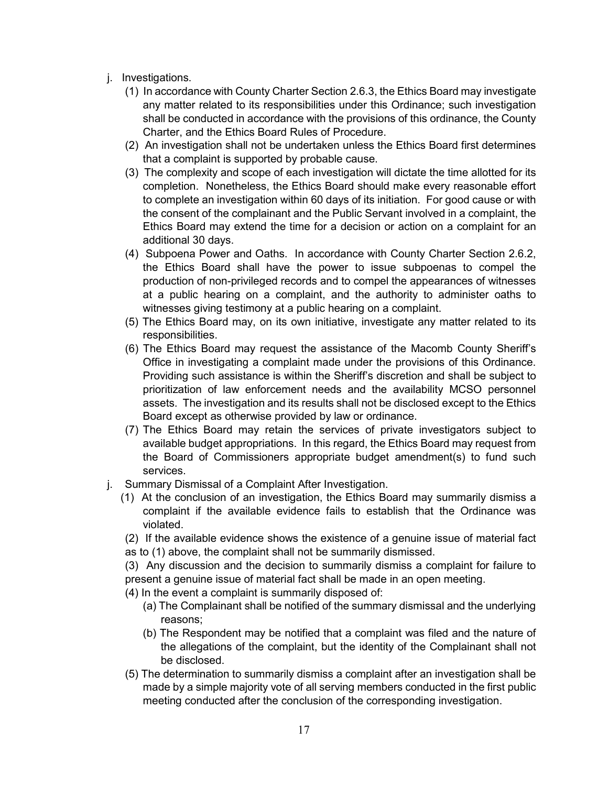- j. Investigations.
	- (1) In accordance with County Charter Section 2.6.3, the Ethics Board may investigate any matter related to its responsibilities under this Ordinance; such investigation shall be conducted in accordance with the provisions of this ordinance, the County Charter, and the Ethics Board Rules of Procedure.
	- (2) An investigation shall not be undertaken unless the Ethics Board first determines that a complaint is supported by probable cause.
	- (3) The complexity and scope of each investigation will dictate the time allotted for its completion. Nonetheless, the Ethics Board should make every reasonable effort to complete an investigation within 60 days of its initiation. For good cause or with the consent of the complainant and the Public Servant involved in a complaint, the Ethics Board may extend the time for a decision or action on a complaint for an additional 30 days.
	- (4) Subpoena Power and Oaths. In accordance with County Charter Section 2.6.2, the Ethics Board shall have the power to issue subpoenas to compel the production of non-privileged records and to compel the appearances of witnesses at a public hearing on a complaint, and the authority to administer oaths to witnesses giving testimony at a public hearing on a complaint.
	- (5) The Ethics Board may, on its own initiative, investigate any matter related to its responsibilities.
	- (6) The Ethics Board may request the assistance of the Macomb County Sheriff's Office in investigating a complaint made under the provisions of this Ordinance. Providing such assistance is within the Sheriff's discretion and shall be subject to prioritization of law enforcement needs and the availability MCSO personnel assets. The investigation and its results shall not be disclosed except to the Ethics Board except as otherwise provided by law or ordinance.
	- (7) The Ethics Board may retain the services of private investigators subject to available budget appropriations. In this regard, the Ethics Board may request from the Board of Commissioners appropriate budget amendment(s) to fund such services.
- j. Summary Dismissal of a Complaint After Investigation.
	- (1) At the conclusion of an investigation, the Ethics Board may summarily dismiss a complaint if the available evidence fails to establish that the Ordinance was violated.
	- (2) If the available evidence shows the existence of a genuine issue of material fact as to (1) above, the complaint shall not be summarily dismissed.

(3) Any discussion and the decision to summarily dismiss a complaint for failure to present a genuine issue of material fact shall be made in an open meeting.

- (4) In the event a complaint is summarily disposed of:
	- (a) The Complainant shall be notified of the summary dismissal and the underlying reasons;
	- (b) The Respondent may be notified that a complaint was filed and the nature of the allegations of the complaint, but the identity of the Complainant shall not be disclosed.
- (5) The determination to summarily dismiss a complaint after an investigation shall be made by a simple majority vote of all serving members conducted in the first public meeting conducted after the conclusion of the corresponding investigation.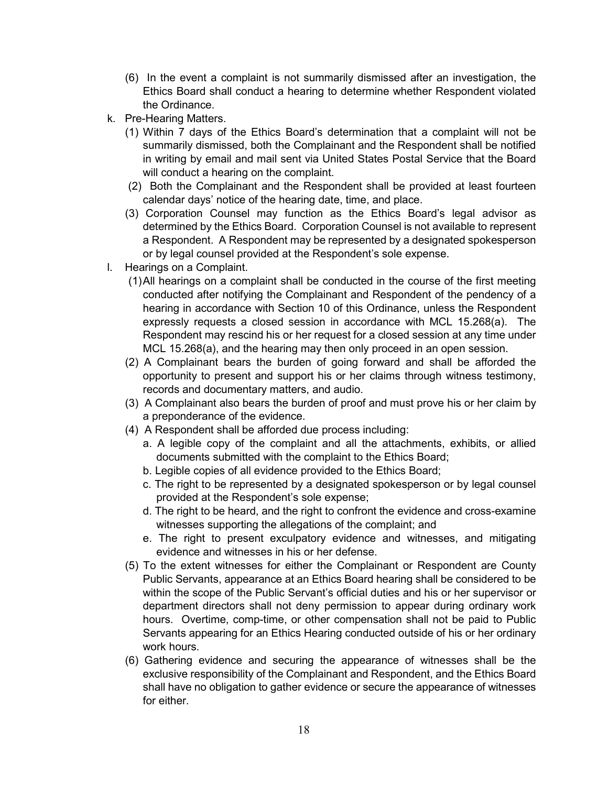- (6) In the event a complaint is not summarily dismissed after an investigation, the Ethics Board shall conduct a hearing to determine whether Respondent violated the Ordinance.
- k. Pre-Hearing Matters.
	- (1) Within 7 days of the Ethics Board's determination that a complaint will not be summarily dismissed, both the Complainant and the Respondent shall be notified in writing by email and mail sent via United States Postal Service that the Board will conduct a hearing on the complaint.
	- (2) Both the Complainant and the Respondent shall be provided at least fourteen calendar days' notice of the hearing date, time, and place.
	- (3) Corporation Counsel may function as the Ethics Board's legal advisor as determined by the Ethics Board. Corporation Counsel is not available to represent a Respondent. A Respondent may be represented by a designated spokesperson or by legal counsel provided at the Respondent's sole expense.
- l. Hearings on a Complaint.
	- (1)All hearings on a complaint shall be conducted in the course of the first meeting conducted after notifying the Complainant and Respondent of the pendency of a hearing in accordance with Section 10 of this Ordinance, unless the Respondent expressly requests a closed session in accordance with MCL 15.268(a). The Respondent may rescind his or her request for a closed session at any time under MCL 15.268(a), and the hearing may then only proceed in an open session.
	- (2) A Complainant bears the burden of going forward and shall be afforded the opportunity to present and support his or her claims through witness testimony, records and documentary matters, and audio.
	- (3) A Complainant also bears the burden of proof and must prove his or her claim by a preponderance of the evidence.
	- (4) A Respondent shall be afforded due process including:
		- a. A legible copy of the complaint and all the attachments, exhibits, or allied documents submitted with the complaint to the Ethics Board;
		- b. Legible copies of all evidence provided to the Ethics Board;
		- c. The right to be represented by a designated spokesperson or by legal counsel provided at the Respondent's sole expense;
		- d. The right to be heard, and the right to confront the evidence and cross-examine witnesses supporting the allegations of the complaint; and
		- e. The right to present exculpatory evidence and witnesses, and mitigating evidence and witnesses in his or her defense.
	- (5) To the extent witnesses for either the Complainant or Respondent are County Public Servants, appearance at an Ethics Board hearing shall be considered to be within the scope of the Public Servant's official duties and his or her supervisor or department directors shall not deny permission to appear during ordinary work hours. Overtime, comp-time, or other compensation shall not be paid to Public Servants appearing for an Ethics Hearing conducted outside of his or her ordinary work hours.
	- (6) Gathering evidence and securing the appearance of witnesses shall be the exclusive responsibility of the Complainant and Respondent, and the Ethics Board shall have no obligation to gather evidence or secure the appearance of witnesses for either.